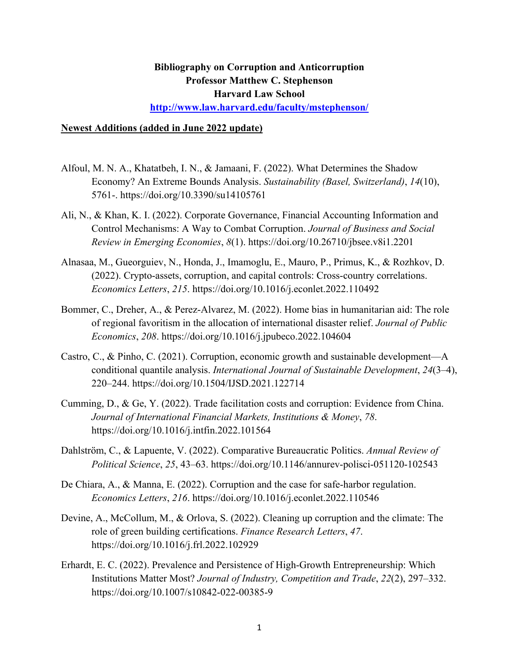## **Bibliography on Corruption and Anticorruption Professor Matthew C. Stephenson Harvard Law School**

**http://www.law.harvard.edu/faculty/mstephenson/**

## **Newest Additions (added in June 2022 update)**

- Alfoul, M. N. A., Khatatbeh, I. N., & Jamaani, F. (2022). What Determines the Shadow Economy? An Extreme Bounds Analysis. *Sustainability (Basel, Switzerland)*, *14*(10), 5761-. https://doi.org/10.3390/su14105761
- Ali, N., & Khan, K. I. (2022). Corporate Governance, Financial Accounting Information and Control Mechanisms: A Way to Combat Corruption. *Journal of Business and Social Review in Emerging Economies*, *8*(1). https://doi.org/10.26710/jbsee.v8i1.2201
- Alnasaa, M., Gueorguiev, N., Honda, J., Imamoglu, E., Mauro, P., Primus, K., & Rozhkov, D. (2022). Crypto-assets, corruption, and capital controls: Cross-country correlations. *Economics Letters*, *215*. https://doi.org/10.1016/j.econlet.2022.110492
- Bommer, C., Dreher, A., & Perez-Alvarez, M. (2022). Home bias in humanitarian aid: The role of regional favoritism in the allocation of international disaster relief. *Journal of Public Economics*, *208*. https://doi.org/10.1016/j.jpubeco.2022.104604
- Castro, C., & Pinho, C. (2021). Corruption, economic growth and sustainable development—A conditional quantile analysis. *International Journal of Sustainable Development*, *24*(3–4), 220–244. https://doi.org/10.1504/IJSD.2021.122714
- Cumming, D., & Ge, Y. (2022). Trade facilitation costs and corruption: Evidence from China. *Journal of International Financial Markets, Institutions & Money*, *78*. https://doi.org/10.1016/j.intfin.2022.101564
- Dahlström, C., & Lapuente, V. (2022). Comparative Bureaucratic Politics. *Annual Review of Political Science*, *25*, 43–63. https://doi.org/10.1146/annurev-polisci-051120-102543
- De Chiara, A., & Manna, E. (2022). Corruption and the case for safe-harbor regulation. *Economics Letters*, *216*. https://doi.org/10.1016/j.econlet.2022.110546
- Devine, A., McCollum, M., & Orlova, S. (2022). Cleaning up corruption and the climate: The role of green building certifications. *Finance Research Letters*, *47*. https://doi.org/10.1016/j.frl.2022.102929
- Erhardt, E. C. (2022). Prevalence and Persistence of High-Growth Entrepreneurship: Which Institutions Matter Most? *Journal of Industry, Competition and Trade*, *22*(2), 297–332. https://doi.org/10.1007/s10842-022-00385-9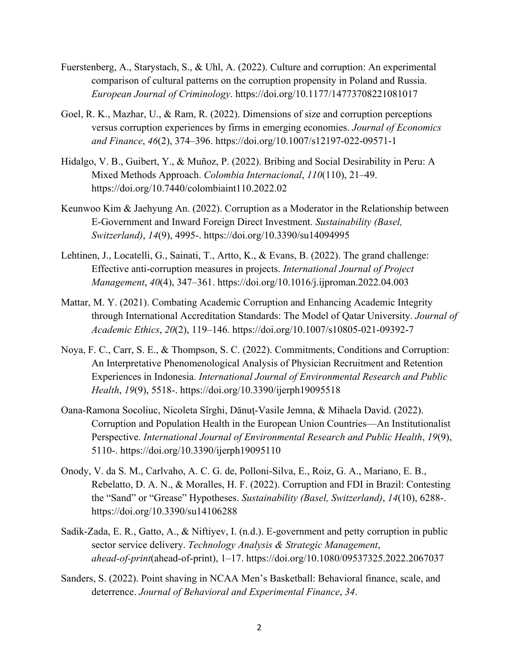- Fuerstenberg, A., Starystach, S., & Uhl, A. (2022). Culture and corruption: An experimental comparison of cultural patterns on the corruption propensity in Poland and Russia. *European Journal of Criminology*. https://doi.org/10.1177/14773708221081017
- Goel, R. K., Mazhar, U., & Ram, R. (2022). Dimensions of size and corruption perceptions versus corruption experiences by firms in emerging economies. *Journal of Economics and Finance*, *46*(2), 374–396. https://doi.org/10.1007/s12197-022-09571-1
- Hidalgo, V. B., Guibert, Y., & Muñoz, P. (2022). Bribing and Social Desirability in Peru: A Mixed Methods Approach. *Colombia Internacional*, *110*(110), 21–49. https://doi.org/10.7440/colombiaint110.2022.02
- Keunwoo Kim & Jaehyung An. (2022). Corruption as a Moderator in the Relationship between E-Government and Inward Foreign Direct Investment. *Sustainability (Basel, Switzerland)*, *14*(9), 4995-. https://doi.org/10.3390/su14094995
- Lehtinen, J., Locatelli, G., Sainati, T., Artto, K., & Evans, B. (2022). The grand challenge: Effective anti-corruption measures in projects. *International Journal of Project Management*, *40*(4), 347–361. https://doi.org/10.1016/j.ijproman.2022.04.003
- Mattar, M. Y. (2021). Combating Academic Corruption and Enhancing Academic Integrity through International Accreditation Standards: The Model of Qatar University. *Journal of Academic Ethics*, *20*(2), 119–146. https://doi.org/10.1007/s10805-021-09392-7
- Noya, F. C., Carr, S. E., & Thompson, S. C. (2022). Commitments, Conditions and Corruption: An Interpretative Phenomenological Analysis of Physician Recruitment and Retention Experiences in Indonesia. *International Journal of Environmental Research and Public Health*, *19*(9), 5518-. https://doi.org/10.3390/ijerph19095518
- Oana-Ramona Socoliuc, Nicoleta Sîrghi, Dănuţ-Vasile Jemna, & Mihaela David. (2022). Corruption and Population Health in the European Union Countries—An Institutionalist Perspective. *International Journal of Environmental Research and Public Health*, *19*(9), 5110-. https://doi.org/10.3390/ijerph19095110
- Onody, V. da S. M., Carlvaho, A. C. G. de, Polloni-Silva, E., Roiz, G. A., Mariano, E. B., Rebelatto, D. A. N., & Moralles, H. F. (2022). Corruption and FDI in Brazil: Contesting the "Sand" or "Grease" Hypotheses. *Sustainability (Basel, Switzerland)*, *14*(10), 6288-. https://doi.org/10.3390/su14106288
- Sadik-Zada, E. R., Gatto, A., & Niftiyev, I. (n.d.). E-government and petty corruption in public sector service delivery. *Technology Analysis & Strategic Management*, *ahead-of-print*(ahead-of-print), 1–17. https://doi.org/10.1080/09537325.2022.2067037
- Sanders, S. (2022). Point shaving in NCAA Men's Basketball: Behavioral finance, scale, and deterrence. *Journal of Behavioral and Experimental Finance*, *34*.